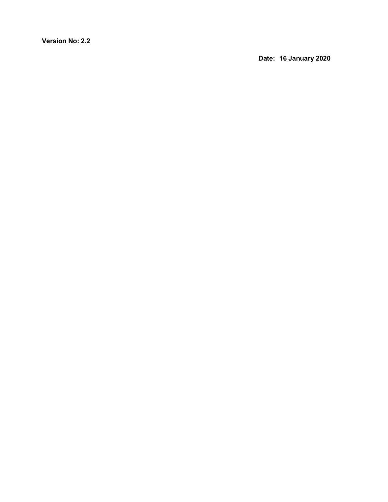**Version No: 2.2**

**Date: 16 January 2020**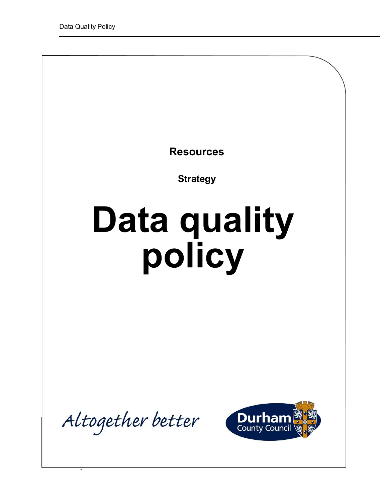**Resources**

**Strategy** 

# **Data quality policy**

Altogether better

 $\overline{\phantom{a}}$ 

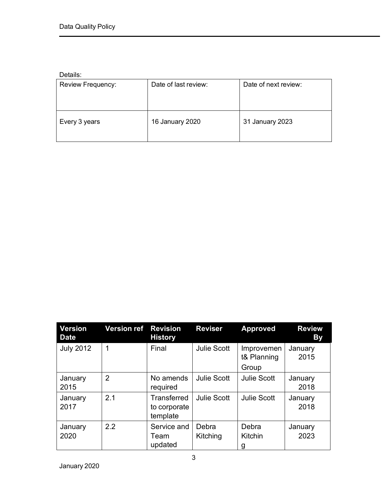Details:

| -------           |                      |                      |
|-------------------|----------------------|----------------------|
| Review Frequency: | Date of last review: | Date of next review: |
| Every 3 years     | 16 January 2020      | 31 January 2023      |

| <b>Version</b><br><b>Date</b> | <b>Version ref</b> | <b>Revision</b><br><b>History</b>       | <b>Reviser</b>     | <b>Approved</b>                    | <b>Review</b><br><b>By</b> |
|-------------------------------|--------------------|-----------------------------------------|--------------------|------------------------------------|----------------------------|
| <b>July 2012</b>              | 1                  | Final                                   | <b>Julie Scott</b> | Improvemen<br>t& Planning<br>Group | January<br>2015            |
| January<br>2015               | $\overline{2}$     | No amends<br>required                   | <b>Julie Scott</b> | <b>Julie Scott</b>                 | January<br>2018            |
| January<br>2017               | 2.1                | Transferred<br>to corporate<br>template | <b>Julie Scott</b> | <b>Julie Scott</b>                 | January<br>2018            |
| January<br>2020               | 2.2                | Service and<br>Team<br>updated          | Debra<br>Kitching  | Debra<br>Kitchin<br>g              | January<br>2023            |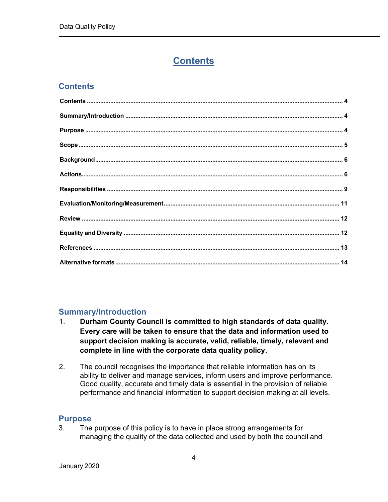## **Contents**

## <span id="page-3-0"></span>**Contents**

#### <span id="page-3-1"></span>**Summary/Introduction**

- 1. **Durham County Council is committed to high standards of data quality. Every care will be taken to ensure that the data and information used to support decision making is accurate, valid, reliable, timely, relevant and complete in line with the corporate data quality policy.**
- 2. The council recognises the importance that reliable information has on its ability to deliver and manage services, inform users and improve performance. Good quality, accurate and timely data is essential in the provision of reliable performance and financial information to support decision making at all levels.

#### <span id="page-3-2"></span>**Purpose**

3. The purpose of this policy is to have in place strong arrangements for managing the quality of the data collected and used by both the council and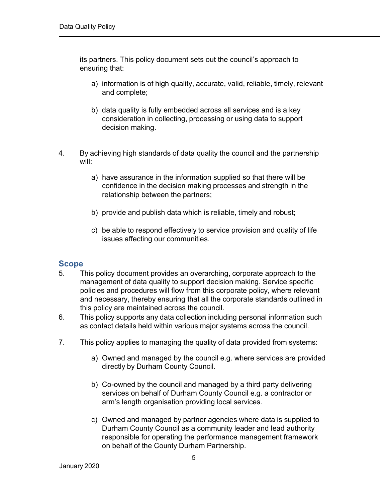its partners. This policy document sets out the council's approach to ensuring that:

- a) information is of high quality, accurate, valid, reliable, timely, relevant and complete;
- b) data quality is fully embedded across all services and is a key consideration in collecting, processing or using data to support decision making.
- 4. By achieving high standards of data quality the council and the partnership will:
	- a) have assurance in the information supplied so that there will be confidence in the decision making processes and strength in the relationship between the partners;
	- b) provide and publish data which is reliable, timely and robust;
	- c) be able to respond effectively to service provision and quality of life issues affecting our communities.

#### <span id="page-4-0"></span>**Scope**

- 5. This policy document provides an overarching, corporate approach to the management of data quality to support decision making. Service specific policies and procedures will flow from this corporate policy, where relevant and necessary, thereby ensuring that all the corporate standards outlined in this policy are maintained across the council.
- 6. This policy supports any data collection including personal information such as contact details held within various major systems across the council.
- 7. This policy applies to managing the quality of data provided from systems:
	- a) Owned and managed by the council e.g. where services are provided directly by Durham County Council.
	- b) Co-owned by the council and managed by a third party delivering services on behalf of Durham County Council e.g. a contractor or arm's length organisation providing local services.
	- c) Owned and managed by partner agencies where data is supplied to Durham County Council as a community leader and lead authority responsible for operating the performance management framework on behalf of the County Durham Partnership.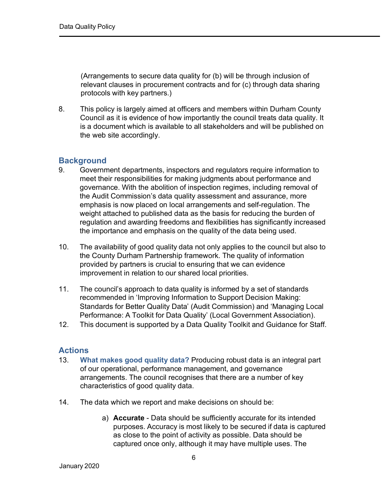(Arrangements to secure data quality for (b) will be through inclusion of relevant clauses in procurement contracts and for (c) through data sharing protocols with key partners.)

8. This policy is largely aimed at officers and members within Durham County Council as it is evidence of how importantly the council treats data quality. It is a document which is available to all stakeholders and will be published on the web site accordingly.

#### <span id="page-5-0"></span>**Background**

- 9. Government departments, inspectors and regulators require information to meet their responsibilities for making judgments about performance and governance. With the abolition of inspection regimes, including removal of the Audit Commission's data quality assessment and assurance, more emphasis is now placed on local arrangements and self-regulation. The weight attached to published data as the basis for reducing the burden of regulation and awarding freedoms and flexibilities has significantly increased the importance and emphasis on the quality of the data being used.
- 10. The availability of good quality data not only applies to the council but also to the County Durham Partnership framework. The quality of information provided by partners is crucial to ensuring that we can evidence improvement in relation to our shared local priorities.
- 11. The council's approach to data quality is informed by a set of standards recommended in 'Improving Information to Support Decision Making: Standards for Better Quality Data' (Audit Commission) and 'Managing Local Performance: A Toolkit for Data Quality' (Local Government Association).
- 12. This document is supported by a Data Quality Toolkit and Guidance for Staff.

#### <span id="page-5-1"></span>**Actions**

- 13. **What makes good quality data?** Producing robust data is an integral part of our operational, performance management, and governance arrangements. The council recognises that there are a number of key characteristics of good quality data.
- 14. The data which we report and make decisions on should be:
	- a) **Accurate**  Data should be sufficiently accurate for its intended purposes. Accuracy is most likely to be secured if data is captured as close to the point of activity as possible. Data should be captured once only, although it may have multiple uses. The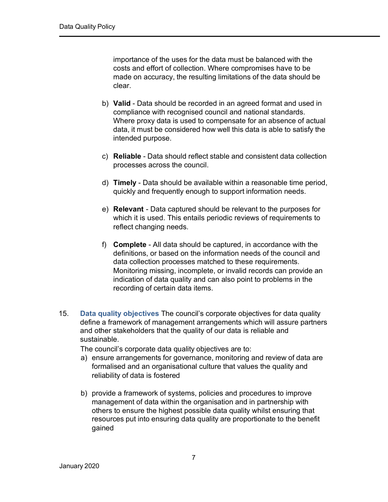importance of the uses for the data must be balanced with the costs and effort of collection. Where compromises have to be made on accuracy, the resulting limitations of the data should be clear.

- b) **Valid**  Data should be recorded in an agreed format and used in compliance with recognised council and national standards. Where proxy data is used to compensate for an absence of actual data, it must be considered how well this data is able to satisfy the intended purpose.
- c) **Reliable** Data should reflect stable and consistent data collection processes across the council.
- d) **Timely**  Data should be available within a reasonable time period, quickly and frequently enough to support information needs.
- e) **Relevant**  Data captured should be relevant to the purposes for which it is used. This entails periodic reviews of requirements to reflect changing needs.
- f) **Complete**  All data should be captured, in accordance with the definitions, or based on the information needs of the council and data collection processes matched to these requirements. Monitoring missing, incomplete, or invalid records can provide an indication of data quality and can also point to problems in the recording of certain data items.
- 15. **Data quality objectives** The council's corporate objectives for data quality define a framework of management arrangements which will assure partners and other stakeholders that the quality of our data is reliable and sustainable.

The council's corporate data quality objectives are to:

- a) ensure arrangements for governance, monitoring and review of data are formalised and an organisational culture that values the quality and reliability of data is fostered
- b) provide a framework of systems, policies and procedures to improve management of data within the organisation and in partnership with others to ensure the highest possible data quality whilst ensuring that resources put into ensuring data quality are proportionate to the benefit gained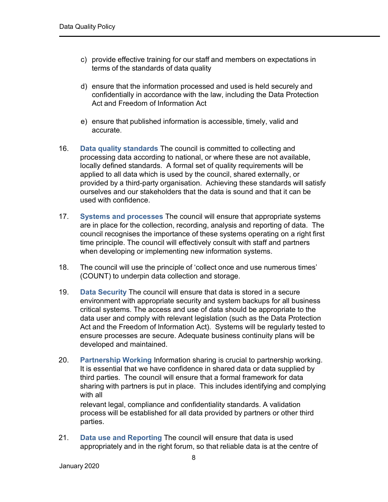- c) provide effective training for our staff and members on expectations in terms of the standards of data quality
- d) ensure that the information processed and used is held securely and confidentially in accordance with the law, including the Data Protection Act and Freedom of Information Act
- e) ensure that published information is accessible, timely, valid and accurate.
- 16. **Data quality standards** The council is committed to collecting and processing data according to national, or where these are not available, locally defined standards. A formal set of quality requirements will be applied to all data which is used by the council, shared externally, or provided by a third-party organisation. Achieving these standards will satisfy ourselves and our stakeholders that the data is sound and that it can be used with confidence.
- 17. **Systems and processes** The council will ensure that appropriate systems are in place for the collection, recording, analysis and reporting of data. The council recognises the importance of these systems operating on a right first time principle. The council will effectively consult with staff and partners when developing or implementing new information systems.
- 18. The council will use the principle of 'collect once and use numerous times' (COUNT) to underpin data collection and storage.
- 19. **Data Security** The council will ensure that data is stored in a secure environment with appropriate security and system backups for all business critical systems. The access and use of data should be appropriate to the data user and comply with relevant legislation (such as the Data Protection Act and the Freedom of Information Act). Systems will be regularly tested to ensure processes are secure. Adequate business continuity plans will be developed and maintained.
- 20. **Partnership Working** Information sharing is crucial to partnership working. It is essential that we have confidence in shared data or data supplied by third parties. The council will ensure that a formal framework for data sharing with partners is put in place. This includes identifying and complying with all

relevant legal, compliance and confidentiality standards. A validation process will be established for all data provided by partners or other third parties.

21. **Data use and Reporting** The council will ensure that data is used appropriately and in the right forum, so that reliable data is at the centre of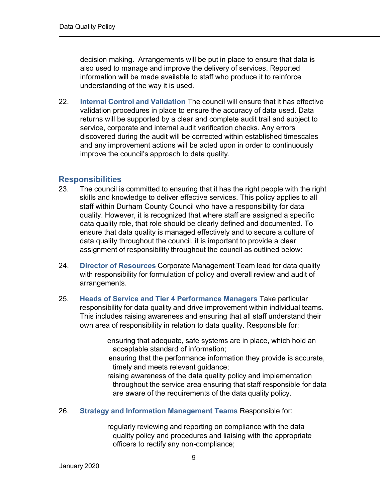decision making. Arrangements will be put in place to ensure that data is also used to manage and improve the delivery of services. Reported information will be made available to staff who produce it to reinforce understanding of the way it is used.

22. **Internal Control and Validation** The council will ensure that it has effective validation procedures in place to ensure the accuracy of data used. Data returns will be supported by a clear and complete audit trail and subject to service, corporate and internal audit verification checks. Any errors discovered during the audit will be corrected within established timescales and any improvement actions will be acted upon in order to continuously improve the council's approach to data quality.

#### <span id="page-8-0"></span>**Responsibilities**

- 23. The council is committed to ensuring that it has the right people with the right skills and knowledge to deliver effective services. This policy applies to all staff within Durham County Council who have a responsibility for data quality. However, it is recognized that where staff are assigned a specific data quality role, that role should be clearly defined and documented. To ensure that data quality is managed effectively and to secure a culture of data quality throughout the council, it is important to provide a clear assignment of responsibility throughout the council as outlined below:
- 24. **Director of Resources** Corporate Management Team lead for data quality with responsibility for formulation of policy and overall review and audit of arrangements.
- 25. **Heads of Service and Tier 4 Performance Managers** Take particular responsibility for data quality and drive improvement within individual teams. This includes raising awareness and ensuring that all staff understand their own area of responsibility in relation to data quality. Responsible for:
	- ensuring that adequate, safe systems are in place, which hold an acceptable standard of information;
	- ensuring that the performance information they provide is accurate, timely and meets relevant guidance;
	- raising awareness of the data quality policy and implementation throughout the service area ensuring that staff responsible for data are aware of the requirements of the data quality policy.
- 26. **Strategy and Information Management Teams** Responsible for:

regularly reviewing and reporting on compliance with the data quality policy and procedures and liaising with the appropriate officers to rectify any non-compliance;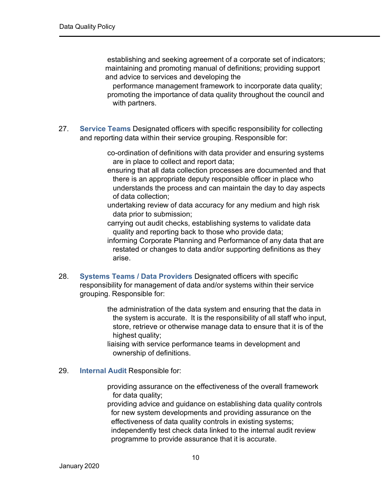establishing and seeking agreement of a corporate set of indicators; maintaining and promoting manual of definitions; providing support and advice to services and developing the

performance management framework to incorporate data quality; promoting the importance of data quality throughout the council and with partners.

27. **Service Teams** Designated officers with specific responsibility for collecting and reporting data within their service grouping. Responsible for:

> co-ordination of definitions with data provider and ensuring systems are in place to collect and report data;

- ensuring that all data collection processes are documented and that there is an appropriate deputy responsible officer in place who understands the process and can maintain the day to day aspects of data collection;
- undertaking review of data accuracy for any medium and high risk data prior to submission;
- carrying out audit checks, establishing systems to validate data quality and reporting back to those who provide data;
- informing Corporate Planning and Performance of any data that are restated or changes to data and/or supporting definitions as they arise.
- 28. **Systems Teams / Data Providers** Designated officers with specific responsibility for management of data and/or systems within their service grouping. Responsible for:

the administration of the data system and ensuring that the data in the system is accurate. It is the responsibility of all staff who input, store, retrieve or otherwise manage data to ensure that it is of the highest quality;

liaising with service performance teams in development and ownership of definitions.

#### 29. **Internal Audit** Responsible for:

providing assurance on the effectiveness of the overall framework for data quality;

providing advice and guidance on establishing data quality controls for new system developments and providing assurance on the effectiveness of data quality controls in existing systems; independently test check data linked to the internal audit review programme to provide assurance that it is accurate.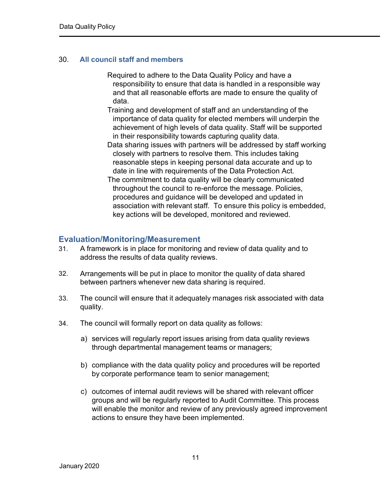#### 30. **All council staff and members**

- Required to adhere to the Data Quality Policy and have a responsibility to ensure that data is handled in a responsible way and that all reasonable efforts are made to ensure the quality of data.
- Training and development of staff and an understanding of the importance of data quality for elected members will underpin the achievement of high levels of data quality. Staff will be supported in their responsibility towards capturing quality data.
- Data sharing issues with partners will be addressed by staff working closely with partners to resolve them. This includes taking reasonable steps in keeping personal data accurate and up to date in line with requirements of the Data Protection Act.
- The commitment to data quality will be clearly communicated throughout the council to re-enforce the message. Policies, procedures and guidance will be developed and updated in association with relevant staff. To ensure this policy is embedded, key actions will be developed, monitored and reviewed.

#### <span id="page-10-0"></span>**Evaluation/Monitoring/Measurement**

- 31. A framework is in place for monitoring and review of data quality and to address the results of data quality reviews.
- 32. Arrangements will be put in place to monitor the quality of data shared between partners whenever new data sharing is required.
- 33. The council will ensure that it adequately manages risk associated with data quality.
- 34. The council will formally report on data quality as follows:
	- a) services will regularly report issues arising from data quality reviews through departmental management teams or managers;
	- b) compliance with the data quality policy and procedures will be reported by corporate performance team to senior management;
	- c) outcomes of internal audit reviews will be shared with relevant officer groups and will be regularly reported to Audit Committee. This process will enable the monitor and review of any previously agreed improvement actions to ensure they have been implemented.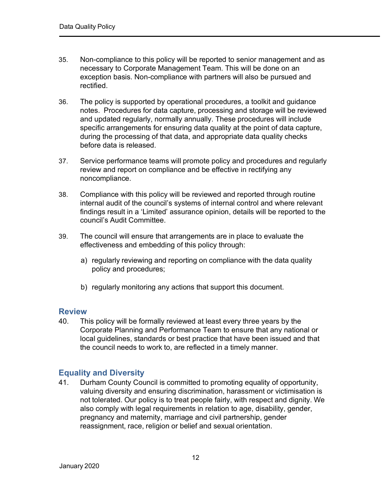- 35. Non-compliance to this policy will be reported to senior management and as necessary to Corporate Management Team. This will be done on an exception basis. Non-compliance with partners will also be pursued and rectified.
- 36. The policy is supported by operational procedures, a toolkit and guidance notes. Procedures for data capture, processing and storage will be reviewed and updated regularly, normally annually. These procedures will include specific arrangements for ensuring data quality at the point of data capture, during the processing of that data, and appropriate data quality checks before data is released.
- 37. Service performance teams will promote policy and procedures and regularly review and report on compliance and be effective in rectifying any noncompliance.
- 38. Compliance with this policy will be reviewed and reported through routine internal audit of the council's systems of internal control and where relevant findings result in a 'Limited' assurance opinion, details will be reported to the council's Audit Committee.
- 39. The council will ensure that arrangements are in place to evaluate the effectiveness and embedding of this policy through:
	- a) regularly reviewing and reporting on compliance with the data quality policy and procedures;
	- b) regularly monitoring any actions that support this document.

#### <span id="page-11-0"></span>**Review**

40. This policy will be formally reviewed at least every three years by the Corporate Planning and Performance Team to ensure that any national or local guidelines, standards or best practice that have been issued and that the council needs to work to, are reflected in a timely manner.

#### <span id="page-11-1"></span>**Equality and Diversity**

41. Durham County Council is committed to promoting equality of opportunity, valuing diversity and ensuring discrimination, harassment or victimisation is not tolerated. Our policy is to treat people fairly, with respect and dignity. We also comply with legal requirements in relation to age, disability, gender, pregnancy and maternity, marriage and civil partnership, gender reassignment, race, religion or belief and sexual orientation.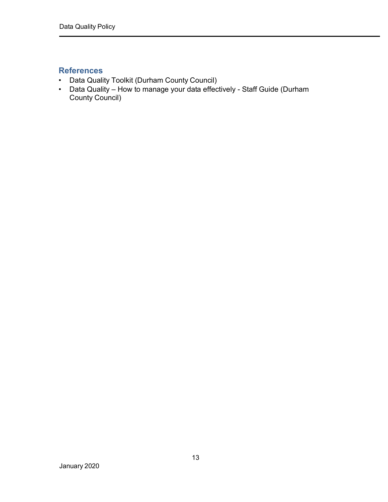### <span id="page-12-0"></span>**References**

- Data Quality Toolkit (Durham County Council)
- Data Quality How to manage your data effectively Staff Guide (Durham County Council)